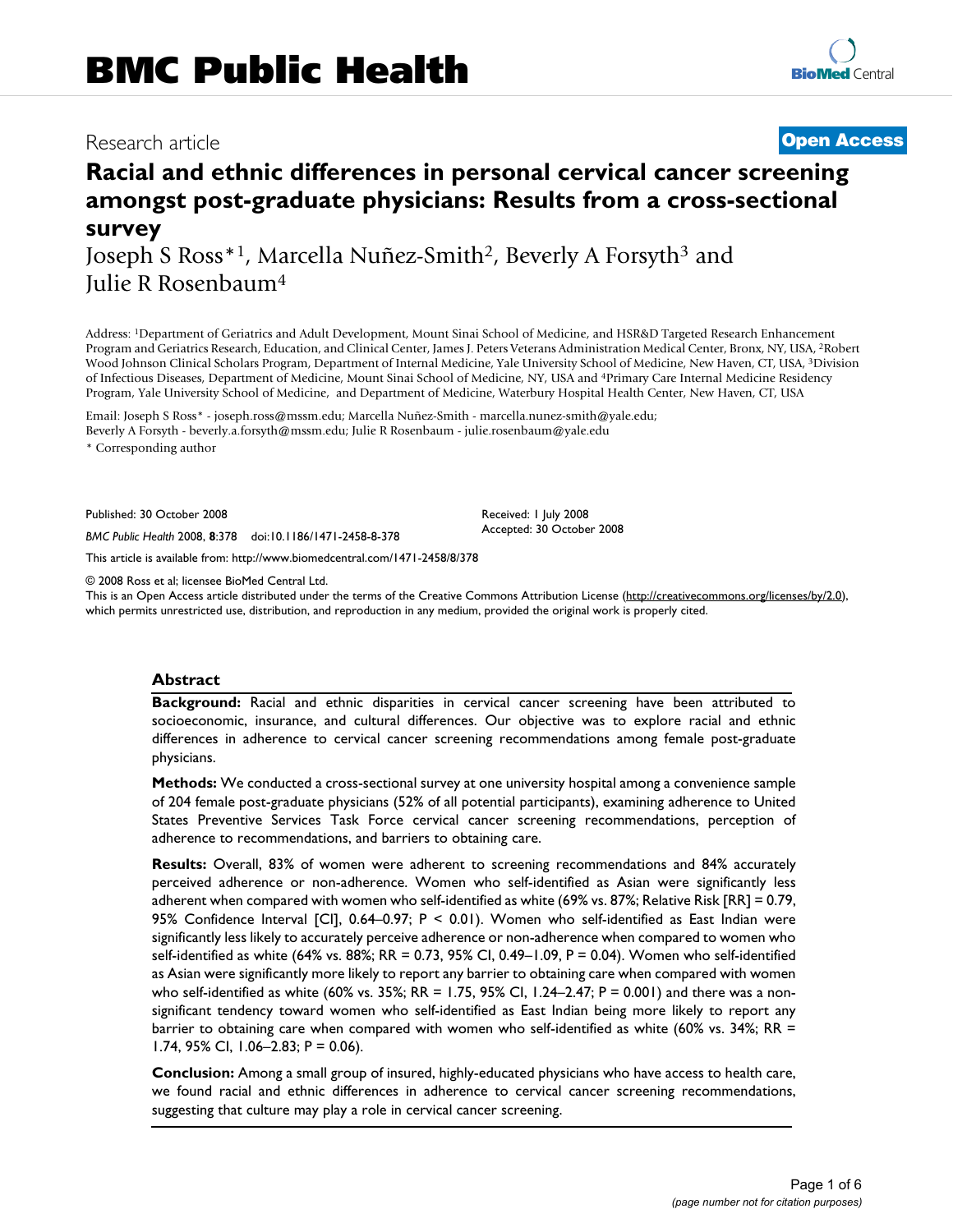# Research article **[Open Access](http://www.biomedcentral.com/info/about/charter/)**

# **Racial and ethnic differences in personal cervical cancer screening amongst post-graduate physicians: Results from a cross-sectional survey**

Joseph S Ross\*1, Marcella Nuñez-Smith<sup>2</sup>, Beverly A Forsyth<sup>3</sup> and Julie R Rosenbaum4

Address: 1Department of Geriatrics and Adult Development, Mount Sinai School of Medicine, and HSR&D Targeted Research Enhancement Program and Geriatrics Research, Education, and Clinical Center, James J. Peters Veterans Administration Medical Center, Bronx, NY, USA, 2Robert Wood Johnson Clinical Scholars Program, Department of Internal Medicine, Yale University School of Medicine, New Haven, CT, USA, 3Division of Infectious Diseases, Department of Medicine, Mount Sinai School of Medicine, NY, USA and 4Primary Care Internal Medicine Residency Program, Yale University School of Medicine, and Department of Medicine, Waterbury Hospital Health Center, New Haven, CT, USA

Email: Joseph S Ross\* - joseph.ross@mssm.edu; Marcella Nuñez-Smith - marcella.nunez-smith@yale.edu; Beverly A Forsyth - beverly.a.forsyth@mssm.edu; Julie R Rosenbaum - julie.rosenbaum@yale.edu

\* Corresponding author

Published: 30 October 2008

*BMC Public Health* 2008, **8**:378 doi:10.1186/1471-2458-8-378

[This article is available from: http://www.biomedcentral.com/1471-2458/8/378](http://www.biomedcentral.com/1471-2458/8/378)

© 2008 Ross et al; licensee BioMed Central Ltd.

This is an Open Access article distributed under the terms of the Creative Commons Attribution License [\(http://creativecommons.org/licenses/by/2.0\)](http://creativecommons.org/licenses/by/2.0), which permits unrestricted use, distribution, and reproduction in any medium, provided the original work is properly cited.

Received: 1 July 2008 Accepted: 30 October 2008

#### **Abstract**

**Background:** Racial and ethnic disparities in cervical cancer screening have been attributed to socioeconomic, insurance, and cultural differences. Our objective was to explore racial and ethnic differences in adherence to cervical cancer screening recommendations among female post-graduate physicians.

**Methods:** We conducted a cross-sectional survey at one university hospital among a convenience sample of 204 female post-graduate physicians (52% of all potential participants), examining adherence to United States Preventive Services Task Force cervical cancer screening recommendations, perception of adherence to recommendations, and barriers to obtaining care.

**Results:** Overall, 83% of women were adherent to screening recommendations and 84% accurately perceived adherence or non-adherence. Women who self-identified as Asian were significantly less adherent when compared with women who self-identified as white (69% vs. 87%; Relative Risk [RR] = 0.79, 95% Confidence Interval [CI], 0.64–0.97; P < 0.01). Women who self-identified as East Indian were significantly less likely to accurately perceive adherence or non-adherence when compared to women who self-identified as white (64% vs. 88%; RR = 0.73, 95% CI, 0.49–1.09, P = 0.04). Women who self-identified as Asian were significantly more likely to report any barrier to obtaining care when compared with women who self-identified as white (60% vs. 35%; RR = 1.75, 95% CI, 1.24–2.47; P = 0.001) and there was a nonsignificant tendency toward women who self-identified as East Indian being more likely to report any barrier to obtaining care when compared with women who self-identified as white (60% vs. 34%; RR = 1.74, 95% CI, 1.06–2.83; P = 0.06).

**Conclusion:** Among a small group of insured, highly-educated physicians who have access to health care, we found racial and ethnic differences in adherence to cervical cancer screening recommendations, suggesting that culture may play a role in cervical cancer screening.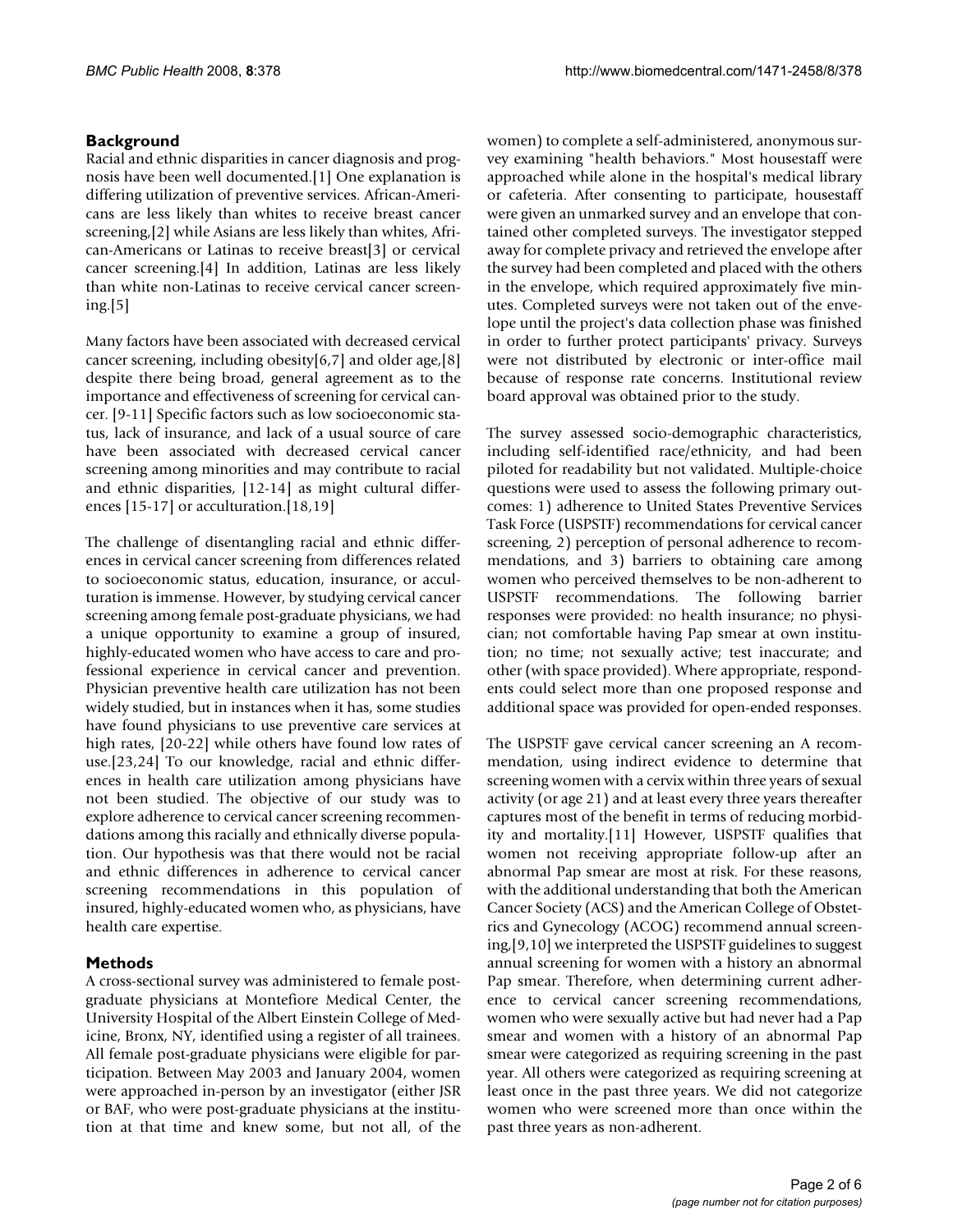# **Background**

Racial and ethnic disparities in cancer diagnosis and prognosis have been well documented.[1] One explanation is differing utilization of preventive services. African-Americans are less likely than whites to receive breast cancer screening,[2] while Asians are less likely than whites, African-Americans or Latinas to receive breast[3] or cervical cancer screening.[4] In addition, Latinas are less likely than white non-Latinas to receive cervical cancer screening.[5]

Many factors have been associated with decreased cervical cancer screening, including obesity[6,7] and older age,[8] despite there being broad, general agreement as to the importance and effectiveness of screening for cervical cancer. [9-11] Specific factors such as low socioeconomic status, lack of insurance, and lack of a usual source of care have been associated with decreased cervical cancer screening among minorities and may contribute to racial and ethnic disparities, [12-14] as might cultural differences [15-17] or acculturation.[18,19]

The challenge of disentangling racial and ethnic differences in cervical cancer screening from differences related to socioeconomic status, education, insurance, or acculturation is immense. However, by studying cervical cancer screening among female post-graduate physicians, we had a unique opportunity to examine a group of insured, highly-educated women who have access to care and professional experience in cervical cancer and prevention. Physician preventive health care utilization has not been widely studied, but in instances when it has, some studies have found physicians to use preventive care services at high rates, [20-22] while others have found low rates of use.[23,24] To our knowledge, racial and ethnic differences in health care utilization among physicians have not been studied. The objective of our study was to explore adherence to cervical cancer screening recommendations among this racially and ethnically diverse population. Our hypothesis was that there would not be racial and ethnic differences in adherence to cervical cancer screening recommendations in this population of insured, highly-educated women who, as physicians, have health care expertise.

# **Methods**

A cross-sectional survey was administered to female postgraduate physicians at Montefiore Medical Center, the University Hospital of the Albert Einstein College of Medicine, Bronx, NY, identified using a register of all trainees. All female post-graduate physicians were eligible for participation. Between May 2003 and January 2004, women were approached in-person by an investigator (either JSR or BAF, who were post-graduate physicians at the institution at that time and knew some, but not all, of the women) to complete a self-administered, anonymous survey examining "health behaviors." Most housestaff were approached while alone in the hospital's medical library or cafeteria. After consenting to participate, housestaff were given an unmarked survey and an envelope that contained other completed surveys. The investigator stepped away for complete privacy and retrieved the envelope after the survey had been completed and placed with the others in the envelope, which required approximately five minutes. Completed surveys were not taken out of the envelope until the project's data collection phase was finished in order to further protect participants' privacy. Surveys were not distributed by electronic or inter-office mail because of response rate concerns. Institutional review board approval was obtained prior to the study.

The survey assessed socio-demographic characteristics, including self-identified race/ethnicity, and had been piloted for readability but not validated. Multiple-choice questions were used to assess the following primary outcomes: 1) adherence to United States Preventive Services Task Force (USPSTF) recommendations for cervical cancer screening, 2) perception of personal adherence to recommendations, and 3) barriers to obtaining care among women who perceived themselves to be non-adherent to USPSTF recommendations. The following barrier responses were provided: no health insurance; no physician; not comfortable having Pap smear at own institution; no time; not sexually active; test inaccurate; and other (with space provided). Where appropriate, respondents could select more than one proposed response and additional space was provided for open-ended responses.

The USPSTF gave cervical cancer screening an A recommendation, using indirect evidence to determine that screening women with a cervix within three years of sexual activity (or age 21) and at least every three years thereafter captures most of the benefit in terms of reducing morbidity and mortality.[11] However, USPSTF qualifies that women not receiving appropriate follow-up after an abnormal Pap smear are most at risk. For these reasons, with the additional understanding that both the American Cancer Society (ACS) and the American College of Obstetrics and Gynecology (ACOG) recommend annual screening,[9,10] we interpreted the USPSTF guidelines to suggest annual screening for women with a history an abnormal Pap smear. Therefore, when determining current adherence to cervical cancer screening recommendations, women who were sexually active but had never had a Pap smear and women with a history of an abnormal Pap smear were categorized as requiring screening in the past year. All others were categorized as requiring screening at least once in the past three years. We did not categorize women who were screened more than once within the past three years as non-adherent.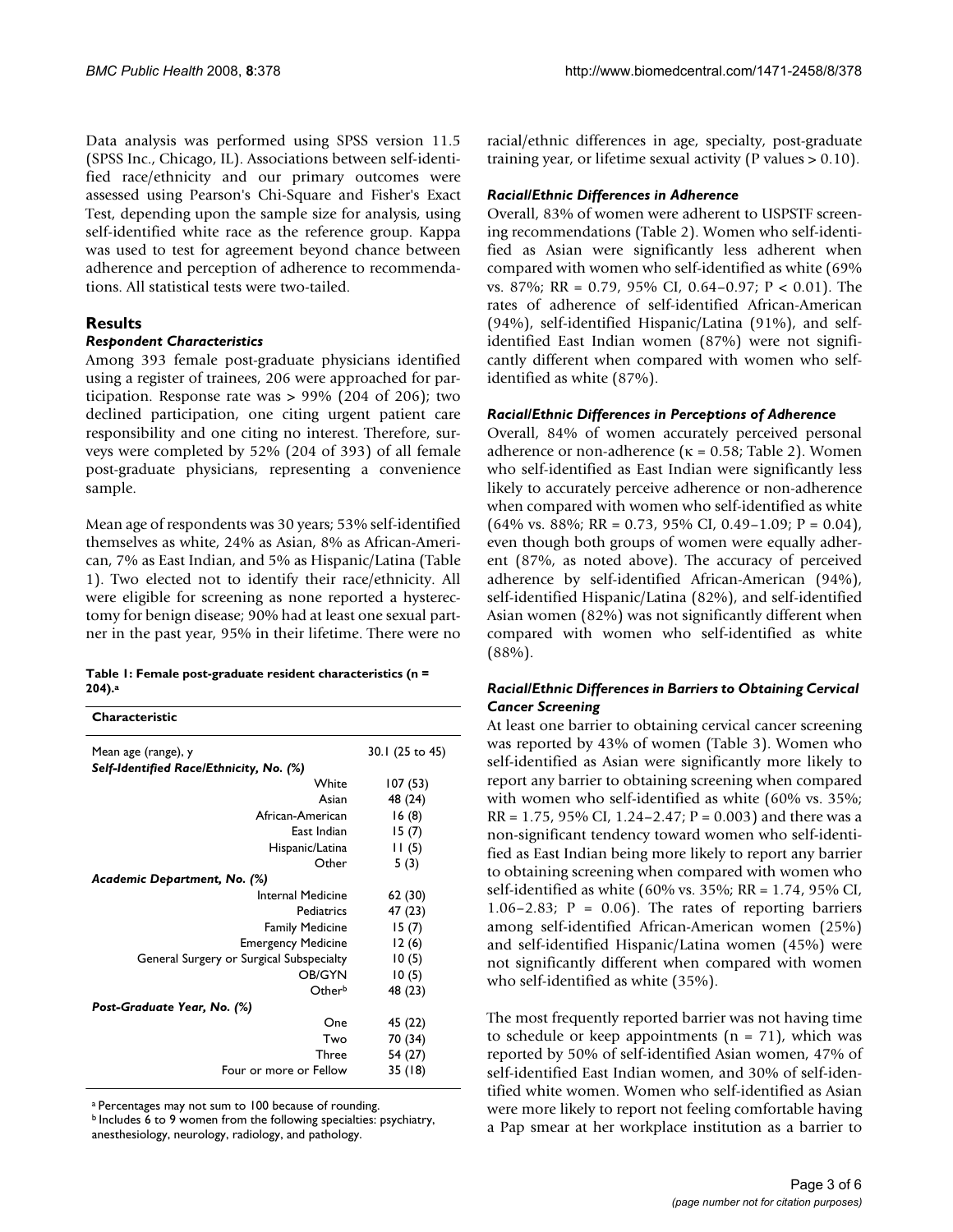Data analysis was performed using SPSS version 11.5 (SPSS Inc., Chicago, IL). Associations between self-identified race/ethnicity and our primary outcomes were assessed using Pearson's Chi-Square and Fisher's Exact Test, depending upon the sample size for analysis, using self-identified white race as the reference group. Kappa was used to test for agreement beyond chance between adherence and perception of adherence to recommendations. All statistical tests were two-tailed.

### **Results**

### *Respondent Characteristics*

Among 393 female post-graduate physicians identified using a register of trainees, 206 were approached for participation. Response rate was > 99% (204 of 206); two declined participation, one citing urgent patient care responsibility and one citing no interest. Therefore, surveys were completed by 52% (204 of 393) of all female post-graduate physicians, representing a convenience sample.

Mean age of respondents was 30 years; 53% self-identified themselves as white, 24% as Asian, 8% as African-American, 7% as East Indian, and 5% as Hispanic/Latina (Table 1). Two elected not to identify their race/ethnicity. All were eligible for screening as none reported a hysterectomy for benign disease; 90% had at least one sexual partner in the past year, 95% in their lifetime. There were no

#### **Table 1: Female post-graduate resident characteristics (n = 204).a**

**Characteristic**

| Mean age (range), y                      | 30.1 (25 to 45) |  |  |  |  |  |  |  |
|------------------------------------------|-----------------|--|--|--|--|--|--|--|
| Self-Identified Race/Ethnicity, No. (%)  |                 |  |  |  |  |  |  |  |
| White                                    | 107(53)         |  |  |  |  |  |  |  |
| Asian                                    | 48 (24)         |  |  |  |  |  |  |  |
| African-American                         | 16(8)           |  |  |  |  |  |  |  |
| East Indian                              | 15(7)           |  |  |  |  |  |  |  |
| Hispanic/Latina                          | 11(5)           |  |  |  |  |  |  |  |
| Other                                    | 5(3)            |  |  |  |  |  |  |  |
| Academic Department, No. (%)             |                 |  |  |  |  |  |  |  |
| Internal Medicine                        | 62 (30)         |  |  |  |  |  |  |  |
| <b>Pediatrics</b>                        | 47 (23)         |  |  |  |  |  |  |  |
| <b>Family Medicine</b>                   | 15(7)           |  |  |  |  |  |  |  |
| <b>Emergency Medicine</b>                | 12(6)           |  |  |  |  |  |  |  |
| General Surgery or Surgical Subspecialty | 10(5)           |  |  |  |  |  |  |  |
| OB/GYN                                   | 10(5)           |  |  |  |  |  |  |  |
| Otherb                                   | 48 (23)         |  |  |  |  |  |  |  |
| Post-Graduate Year, No. (%)              |                 |  |  |  |  |  |  |  |
| One                                      | 45 (22)         |  |  |  |  |  |  |  |
| Two                                      | 70 (34)         |  |  |  |  |  |  |  |
| Three                                    | 54 (27)         |  |  |  |  |  |  |  |
| Four or more or Fellow                   | 35 (18)         |  |  |  |  |  |  |  |
|                                          |                 |  |  |  |  |  |  |  |

a Percentages may not sum to 100 because of rounding.

b Includes 6 to 9 women from the following specialties: psychiatry, anesthesiology, neurology, radiology, and pathology.

racial/ethnic differences in age, specialty, post-graduate training year, or lifetime sexual activity (P values > 0.10).

#### *Racial/Ethnic Differences in Adherence*

Overall, 83% of women were adherent to USPSTF screening recommendations (Table 2). Women who self-identified as Asian were significantly less adherent when compared with women who self-identified as white (69% vs. 87%; RR = 0.79, 95% CI, 0.64–0.97; P < 0.01). The rates of adherence of self-identified African-American (94%), self-identified Hispanic/Latina (91%), and selfidentified East Indian women (87%) were not significantly different when compared with women who selfidentified as white (87%).

#### *Racial/Ethnic Differences in Perceptions of Adherence*

Overall, 84% of women accurately perceived personal adherence or non-adherence ( $\kappa$  = 0.58; Table 2). Women who self-identified as East Indian were significantly less likely to accurately perceive adherence or non-adherence when compared with women who self-identified as white  $(64\% \text{ vs. } 88\%; \text{ RR} = 0.73, 95\% \text{ CI}, 0.49-1.09; \text{ P} = 0.04)$ even though both groups of women were equally adherent (87%, as noted above). The accuracy of perceived adherence by self-identified African-American (94%), self-identified Hispanic/Latina (82%), and self-identified Asian women (82%) was not significantly different when compared with women who self-identified as white (88%).

### *Racial/Ethnic Differences in Barriers to Obtaining Cervical Cancer Screening*

At least one barrier to obtaining cervical cancer screening was reported by 43% of women (Table 3). Women who self-identified as Asian were significantly more likely to report any barrier to obtaining screening when compared with women who self-identified as white (60% vs. 35%;  $RR = 1.75$ , 95% CI, 1.24–2.47; P = 0.003) and there was a non-significant tendency toward women who self-identified as East Indian being more likely to report any barrier to obtaining screening when compared with women who self-identified as white (60% vs. 35%; RR = 1.74, 95% CI, 1.06–2.83;  $P = 0.06$ . The rates of reporting barriers among self-identified African-American women (25%) and self-identified Hispanic/Latina women (45%) were not significantly different when compared with women who self-identified as white (35%).

The most frequently reported barrier was not having time to schedule or keep appointments  $(n = 71)$ , which was reported by 50% of self-identified Asian women, 47% of self-identified East Indian women, and 30% of self-identified white women. Women who self-identified as Asian were more likely to report not feeling comfortable having a Pap smear at her workplace institution as a barrier to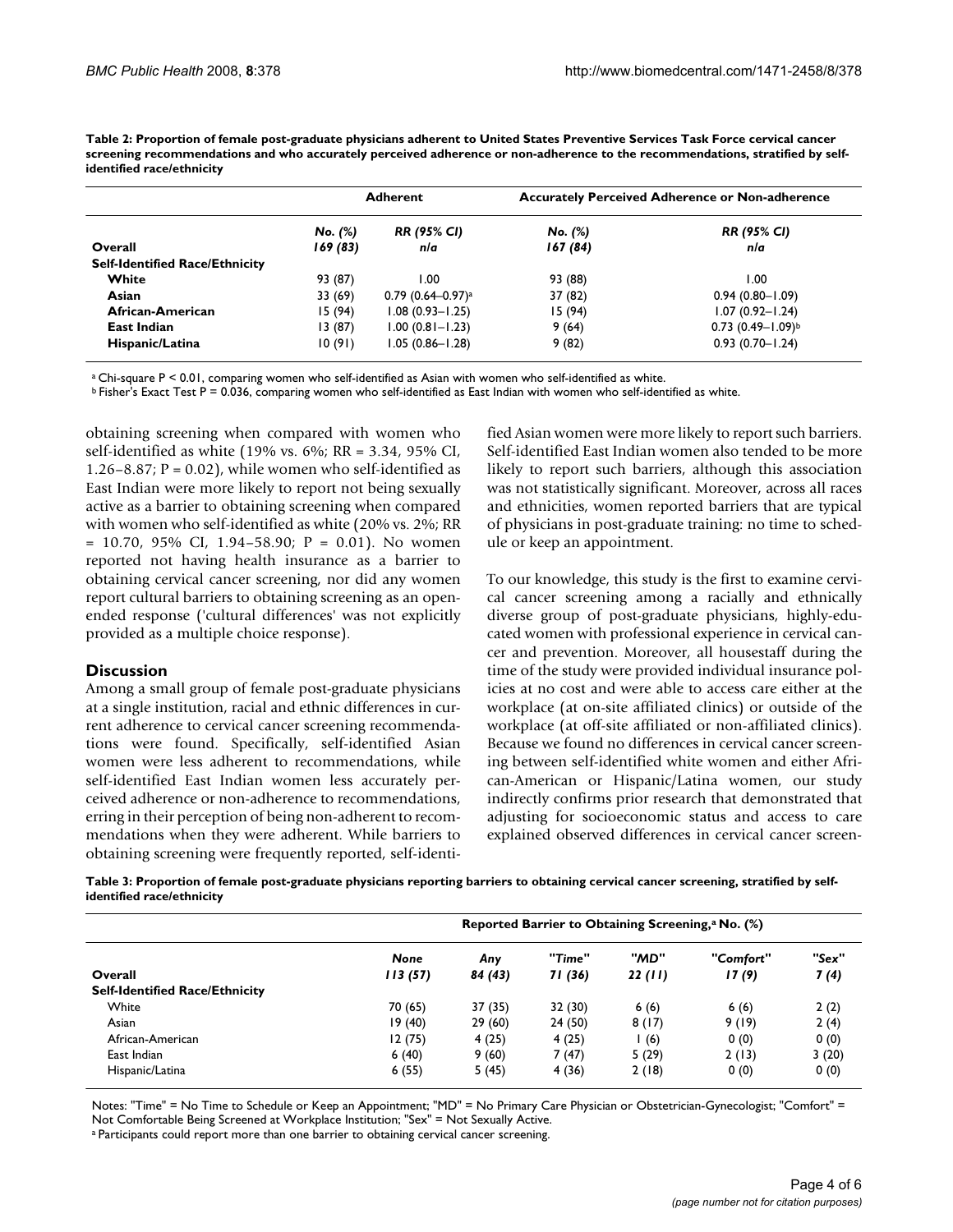**Table 2: Proportion of female post-graduate physicians adherent to United States Preventive Services Task Force cervical cancer screening recommendations and who accurately perceived adherence or non-adherence to the recommendations, stratified by selfidentified race/ethnicity**

|                                       | Adherent |                          | <b>Accurately Perceived Adherence or Non-adherence</b> |                            |  |
|---------------------------------------|----------|--------------------------|--------------------------------------------------------|----------------------------|--|
|                                       | No. (%)  | <b>RR (95% CI)</b>       | No. (%)                                                | <b>RR (95% CI)</b>         |  |
| Overall                               | 169 (83) | nla                      | 167(84)                                                | nla                        |  |
| <b>Self-Identified Race/Ethnicity</b> |          |                          |                                                        |                            |  |
| White                                 | 93 (87)  | 1.00                     | 93 (88)                                                | 1.00                       |  |
| Asian                                 | 33 (69)  | $0.79$ $(0.64 - 0.97)^a$ | 37(82)                                                 | $0.94(0.80 - 1.09)$        |  |
| African-American                      | 15(94)   | $1.08(0.93 - 1.25)$      | 15(94)                                                 | $1.07(0.92 - 1.24)$        |  |
| East Indian                           | 13 (87)  | $1.00(0.81 - 1.23)$      | 9(64)                                                  | $0.73$ $(0.49 - 1.09)^{b}$ |  |
| Hispanic/Latina                       | 10(91)   | $1.05(0.86 - 1.28)$      | 9(82)                                                  | $0.93(0.70 - 1.24)$        |  |

a Chi-square P < 0.01, comparing women who self-identified as Asian with women who self-identified as white.

 $b$  Fisher's Exact Test P = 0.036, comparing women who self-identified as East Indian with women who self-identified as white.

obtaining screening when compared with women who self-identified as white (19% vs. 6%; RR = 3.34, 95% CI, 1.26–8.87;  $P = 0.02$ ), while women who self-identified as East Indian were more likely to report not being sexually active as a barrier to obtaining screening when compared with women who self-identified as white (20% vs. 2%; RR  $= 10.70, 95\% \text{ CI}, 1.94-58.90; P = 0.01$ ). No women reported not having health insurance as a barrier to obtaining cervical cancer screening, nor did any women report cultural barriers to obtaining screening as an openended response ('cultural differences' was not explicitly provided as a multiple choice response).

#### **Discussion**

Among a small group of female post-graduate physicians at a single institution, racial and ethnic differences in current adherence to cervical cancer screening recommendations were found. Specifically, self-identified Asian women were less adherent to recommendations, while self-identified East Indian women less accurately perceived adherence or non-adherence to recommendations, erring in their perception of being non-adherent to recommendations when they were adherent. While barriers to obtaining screening were frequently reported, self-identified Asian women were more likely to report such barriers. Self-identified East Indian women also tended to be more likely to report such barriers, although this association was not statistically significant. Moreover, across all races and ethnicities, women reported barriers that are typical of physicians in post-graduate training: no time to schedule or keep an appointment.

To our knowledge, this study is the first to examine cervical cancer screening among a racially and ethnically diverse group of post-graduate physicians, highly-educated women with professional experience in cervical cancer and prevention. Moreover, all housestaff during the time of the study were provided individual insurance policies at no cost and were able to access care either at the workplace (at on-site affiliated clinics) or outside of the workplace (at off-site affiliated or non-affiliated clinics). Because we found no differences in cervical cancer screening between self-identified white women and either African-American or Hispanic/Latina women, our study indirectly confirms prior research that demonstrated that adjusting for socioeconomic status and access to care explained observed differences in cervical cancer screen-

**Table 3: Proportion of female post-graduate physicians reporting barriers to obtaining cervical cancer screening, stratified by selfidentified race/ethnicity**

|                                       | Reported Barrier to Obtaining Screening, <sup>a</sup> No. (%) |         |         |        |           |       |  |  |
|---------------------------------------|---------------------------------------------------------------|---------|---------|--------|-----------|-------|--|--|
|                                       | <b>None</b>                                                   | Any     | "Time"  | "MD"   | "Comfort" | "Sex" |  |  |
| Overall                               | 113(57)                                                       | 84 (43) | 71 (36) | 22(11) | 17 (9)    | 7(4)  |  |  |
| <b>Self-Identified Race/Ethnicity</b> |                                                               |         |         |        |           |       |  |  |
| White                                 | 70 (65)                                                       | 37(35)  | 32(30)  | 6(6)   | 6(6)      | 2(2)  |  |  |
| Asian                                 | 19(40)                                                        | 29(60)  | 24(50)  | 8(17)  | 9(19)     | 2(4)  |  |  |
| African-American                      | 12(75)                                                        | 4(25)   | 4(25)   | (6)    | 0(0)      | 0(0)  |  |  |
| East Indian                           | 6(40)                                                         | 9(60)   | 7(47)   | 5(29)  | 2(13)     | 3(20) |  |  |
| Hispanic/Latina                       | 6(55)                                                         | 5(45)   | 4(36)   | 2(18)  | 0(0)      | 0(0)  |  |  |

Notes: "Time" = No Time to Schedule or Keep an Appointment; "MD" = No Primary Care Physician or Obstetrician-Gynecologist; "Comfort" = Not Comfortable Being Screened at Workplace Institution; "Sex" = Not Sexually Active.

a Participants could report more than one barrier to obtaining cervical cancer screening.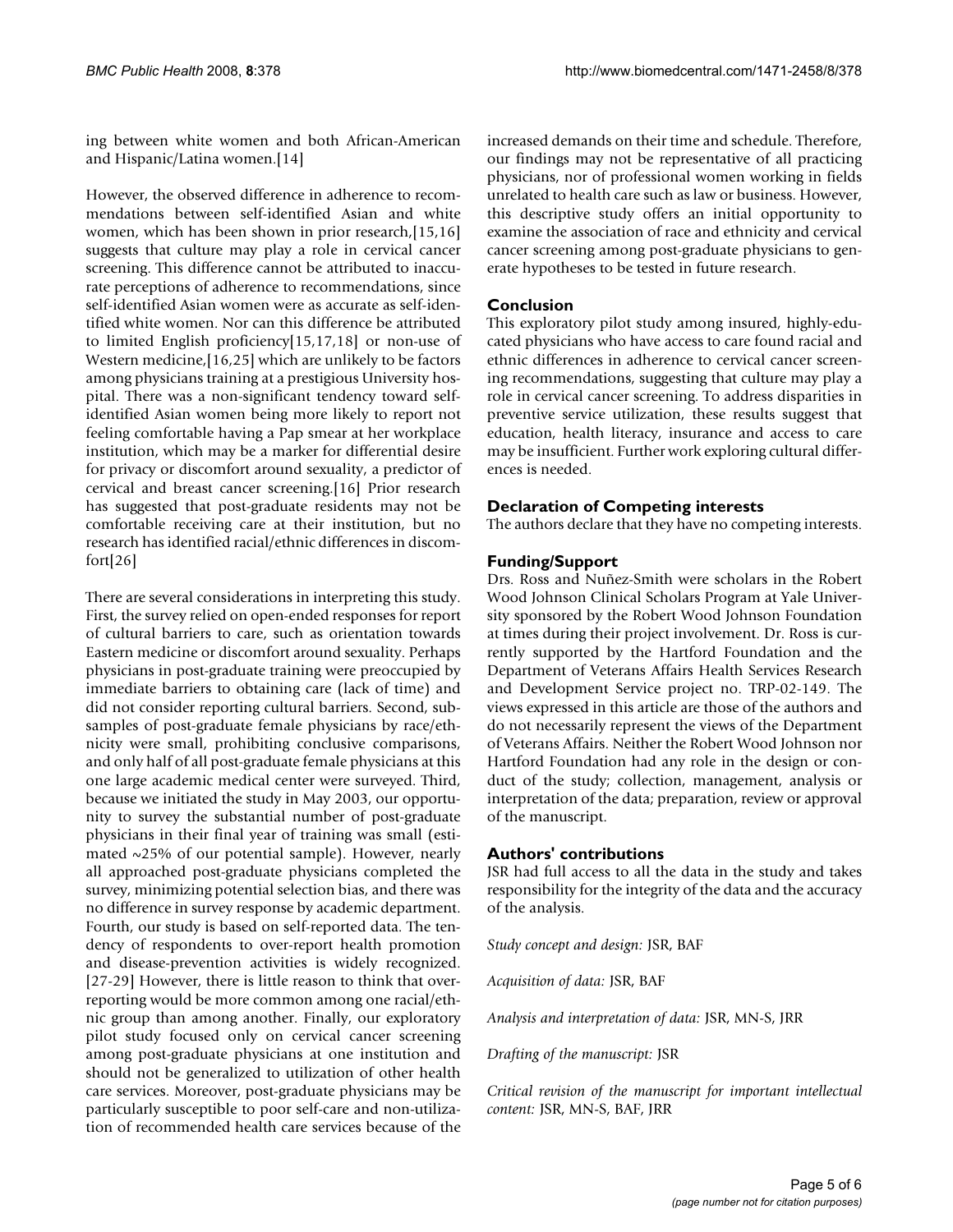ing between white women and both African-American and Hispanic/Latina women.[14]

However, the observed difference in adherence to recommendations between self-identified Asian and white women, which has been shown in prior research, [15,16] suggests that culture may play a role in cervical cancer screening. This difference cannot be attributed to inaccurate perceptions of adherence to recommendations, since self-identified Asian women were as accurate as self-identified white women. Nor can this difference be attributed to limited English proficiency[15,17,18] or non-use of Western medicine,[16,25] which are unlikely to be factors among physicians training at a prestigious University hospital. There was a non-significant tendency toward selfidentified Asian women being more likely to report not feeling comfortable having a Pap smear at her workplace institution, which may be a marker for differential desire for privacy or discomfort around sexuality, a predictor of cervical and breast cancer screening.[16] Prior research has suggested that post-graduate residents may not be comfortable receiving care at their institution, but no research has identified racial/ethnic differences in discomfort[26]

There are several considerations in interpreting this study. First, the survey relied on open-ended responses for report of cultural barriers to care, such as orientation towards Eastern medicine or discomfort around sexuality. Perhaps physicians in post-graduate training were preoccupied by immediate barriers to obtaining care (lack of time) and did not consider reporting cultural barriers. Second, subsamples of post-graduate female physicians by race/ethnicity were small, prohibiting conclusive comparisons, and only half of all post-graduate female physicians at this one large academic medical center were surveyed. Third, because we initiated the study in May 2003, our opportunity to survey the substantial number of post-graduate physicians in their final year of training was small (estimated ~25% of our potential sample). However, nearly all approached post-graduate physicians completed the survey, minimizing potential selection bias, and there was no difference in survey response by academic department. Fourth, our study is based on self-reported data. The tendency of respondents to over-report health promotion and disease-prevention activities is widely recognized. [27-29] However, there is little reason to think that overreporting would be more common among one racial/ethnic group than among another. Finally, our exploratory pilot study focused only on cervical cancer screening among post-graduate physicians at one institution and should not be generalized to utilization of other health care services. Moreover, post-graduate physicians may be particularly susceptible to poor self-care and non-utilization of recommended health care services because of the

increased demands on their time and schedule. Therefore, our findings may not be representative of all practicing physicians, nor of professional women working in fields unrelated to health care such as law or business. However, this descriptive study offers an initial opportunity to examine the association of race and ethnicity and cervical cancer screening among post-graduate physicians to generate hypotheses to be tested in future research.

# **Conclusion**

This exploratory pilot study among insured, highly-educated physicians who have access to care found racial and ethnic differences in adherence to cervical cancer screening recommendations, suggesting that culture may play a role in cervical cancer screening. To address disparities in preventive service utilization, these results suggest that education, health literacy, insurance and access to care may be insufficient. Further work exploring cultural differences is needed.

### **Declaration of Competing interests**

The authors declare that they have no competing interests.

## **Funding/Support**

Drs. Ross and Nuñez-Smith were scholars in the Robert Wood Johnson Clinical Scholars Program at Yale University sponsored by the Robert Wood Johnson Foundation at times during their project involvement. Dr. Ross is currently supported by the Hartford Foundation and the Department of Veterans Affairs Health Services Research and Development Service project no. TRP-02-149. The views expressed in this article are those of the authors and do not necessarily represent the views of the Department of Veterans Affairs. Neither the Robert Wood Johnson nor Hartford Foundation had any role in the design or conduct of the study; collection, management, analysis or interpretation of the data; preparation, review or approval of the manuscript.

### **Authors' contributions**

JSR had full access to all the data in the study and takes responsibility for the integrity of the data and the accuracy of the analysis.

*Study concept and design:* JSR, BAF

*Acquisition of data:* JSR, BAF

*Analysis and interpretation of data:* JSR, MN-S, JRR

*Drafting of the manuscript:* JSR

*Critical revision of the manuscript for important intellectual content:* JSR, MN-S, BAF, JRR